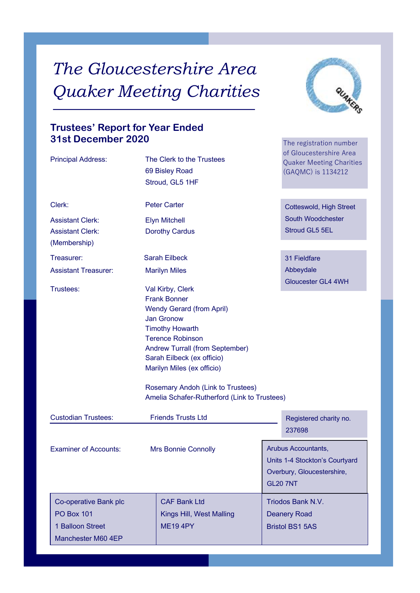# *The Gloucestershire Area Quaker Meeting Charities*



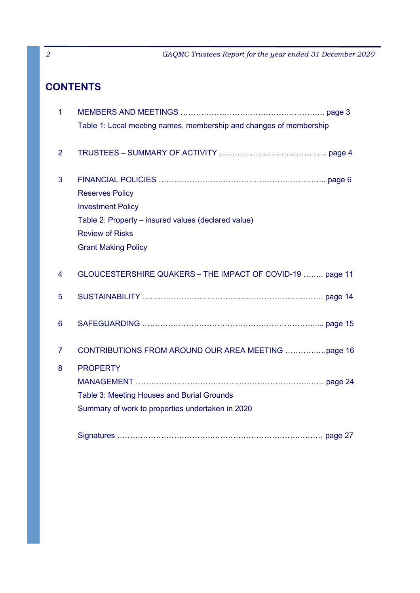# **CONTENTS**

| 1              |                                                                    |
|----------------|--------------------------------------------------------------------|
|                | Table 1: Local meeting names, membership and changes of membership |
|                |                                                                    |
| $\overline{2}$ |                                                                    |
| 3              |                                                                    |
|                | <b>Reserves Policy</b>                                             |
|                | <b>Investment Policy</b>                                           |
|                | Table 2: Property – insured values (declared value)                |
|                | <b>Review of Risks</b>                                             |
|                | <b>Grant Making Policy</b>                                         |
|                |                                                                    |
| $\overline{4}$ | GLOUCESTERSHIRE QUAKERS - THE IMPACT OF COVID-19  page 11          |
| 5              |                                                                    |
|                |                                                                    |
| 6              |                                                                    |
|                |                                                                    |
| $\overline{7}$ |                                                                    |
| 8              | <b>PROPERTY</b>                                                    |
|                |                                                                    |
|                | Table 3: Meeting Houses and Burial Grounds                         |
|                | Summary of work to properties undertaken in 2020                   |
|                |                                                                    |
|                |                                                                    |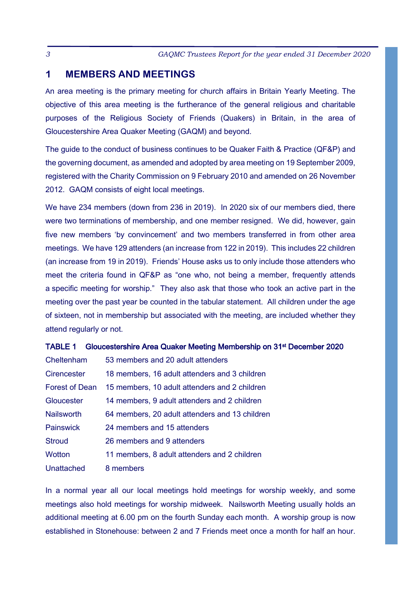### **1 MEMBERS AND MEETINGS**

An area meeting is the primary meeting for church affairs in Britain Yearly Meeting. The objective of this area meeting is the furtherance of the general religious and charitable purposes of the Religious Society of Friends (Quakers) in Britain, in the area of Gloucestershire Area Quaker Meeting (GAQM) and beyond.

The guide to the conduct of business continues to be Quaker Faith & Practice (QF&P) and the governing document, as amended and adopted by area meeting on 19 September 2009, registered with the Charity Commission on 9 February 2010 and amended on 26 November 2012. GAQM consists of eight local meetings.

We have 234 members (down from 236 in 2019). In 2020 six of our members died, there were two terminations of membership, and one member resigned. We did, however, gain five new members 'by convincement' and two members transferred in from other area meetings. We have 129 attenders (an increase from 122 in 2019). This includes 22 children (an increase from 19 in 2019). Friends' House asks us to only include those attenders who meet the criteria found in QF&P as "one who, not being a member, frequently attends a specific meeting for worship." They also ask that those who took an active part in the meeting over the past year be counted in the tabular statement. All children under the age of sixteen, not in membership but associated with the meeting, are included whether they attend regularly or not.

|  | TABLE 1 Gloucestershire Area Quaker Meeting Membership on 31 <sup>st</sup> December 2020 |  |  |  |  |  |  |
|--|------------------------------------------------------------------------------------------|--|--|--|--|--|--|
|--|------------------------------------------------------------------------------------------|--|--|--|--|--|--|

| Cheltenham            | 53 members and 20 adult attenders              |
|-----------------------|------------------------------------------------|
| Cirencester           | 18 members, 16 adult attenders and 3 children  |
| <b>Forest of Dean</b> | 15 members, 10 adult attenders and 2 children  |
| Gloucester            | 14 members, 9 adult attenders and 2 children   |
| <b>Nailsworth</b>     | 64 members, 20 adult attenders and 13 children |
| Painswick             | 24 members and 15 attenders                    |
| <b>Stroud</b>         | 26 members and 9 attenders                     |
| Wotton                | 11 members, 8 adult attenders and 2 children   |
| Unattached            | 8 members                                      |

In a normal year all our local meetings hold meetings for worship weekly, and some meetings also hold meetings for worship midweek. Nailsworth Meeting usually holds an additional meeting at 6.00 pm on the fourth Sunday each month. A worship group is now established in Stonehouse: between 2 and 7 Friends meet once a month for half an hour.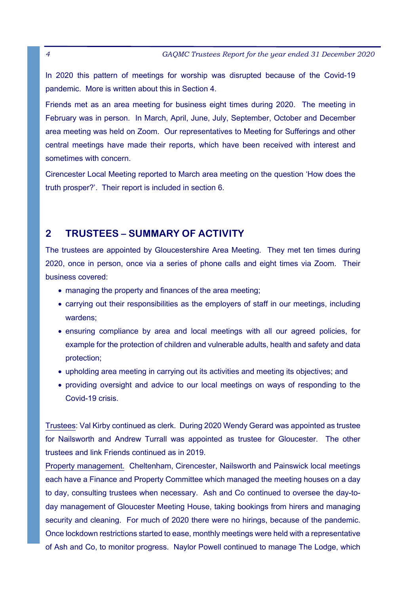In 2020 this pattern of meetings for worship was disrupted because of the Covid-19 pandemic. More is written about this in Section 4.

Friends met as an area meeting for business eight times during 2020. The meeting in February was in person. In March, April, June, July, September, October and December area meeting was held on Zoom. Our representatives to Meeting for Sufferings and other central meetings have made their reports, which have been received with interest and sometimes with concern.

Cirencester Local Meeting reported to March area meeting on the question 'How does the truth prosper?'. Their report is included in section 6.

### **2 TRUSTEES – SUMMARY OF ACTIVITY**

The trustees are appointed by Gloucestershire Area Meeting. They met ten times during 2020, once in person, once via a series of phone calls and eight times via Zoom. Their business covered:

- managing the property and finances of the area meeting:
- carrying out their responsibilities as the employers of staff in our meetings, including wardens:
- ensuring compliance by area and local meetings with all our agreed policies, for example for the protection of children and vulnerable adults, health and safety and data protection;
- upholding area meeting in carrying out its activities and meeting its objectives; and
- providing oversight and advice to our local meetings on ways of responding to the Covid-19 crisis.

Trustees: Val Kirby continued as clerk. During 2020 Wendy Gerard was appointed as trustee for Nailsworth and Andrew Turrall was appointed as trustee for Gloucester. The other trustees and link Friends continued as in 2019.

Property management. Cheltenham, Cirencester, Nailsworth and Painswick local meetings each have a Finance and Property Committee which managed the meeting houses on a day to day, consulting trustees when necessary. Ash and Co continued to oversee the day-today management of Gloucester Meeting House, taking bookings from hirers and managing security and cleaning. For much of 2020 there were no hirings, because of the pandemic. Once lockdown restrictions started to ease, monthly meetings were held with a representative of Ash and Co, to monitor progress. Naylor Powell continued to manage The Lodge, which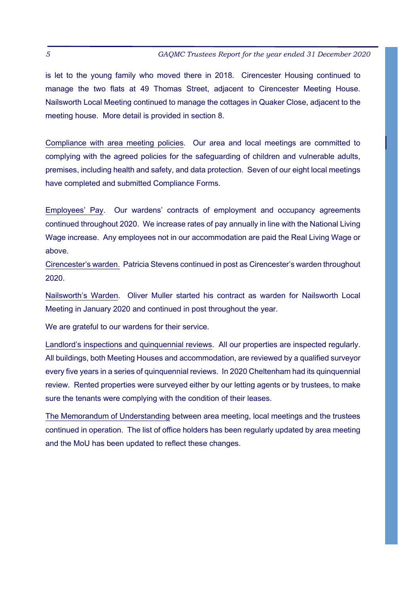is let to the young family who moved there in 2018. Cirencester Housing continued to manage the two flats at 49 Thomas Street, adjacent to Cirencester Meeting House. Nailsworth Local Meeting continued to manage the cottages in Quaker Close, adjacent to the meeting house. More detail is provided in section 8.

Compliance with area meeting policies. Our area and local meetings are committed to complying with the agreed policies for the safeguarding of children and vulnerable adults, premises, including health and safety, and data protection. Seven of our eight local meetings have completed and submitted Compliance Forms.

Employees' Pay. Our wardens' contracts of employment and occupancy agreements continued throughout 2020. We increase rates of pay annually in line with the National Living Wage increase. Any employees not in our accommodation are paid the Real Living Wage or above.

Cirencester's warden. Patricia Stevens continued in post as Cirencester's warden throughout 2020.

Nailsworth's Warden. Oliver Muller started his contract as warden for Nailsworth Local Meeting in January 2020 and continued in post throughout the year.

We are grateful to our wardens for their service.

Landlord's inspections and quinquennial reviews. All our properties are inspected regularly. All buildings, both Meeting Houses and accommodation, are reviewed by a qualified surveyor every five years in a series of quinquennial reviews. In 2020 Cheltenham had its quinquennial review. Rented properties were surveyed either by our letting agents or by trustees, to make sure the tenants were complying with the condition of their leases.

The Memorandum of Understanding between area meeting, local meetings and the trustees continued in operation. The list of office holders has been regularly updated by area meeting and the MoU has been updated to reflect these changes.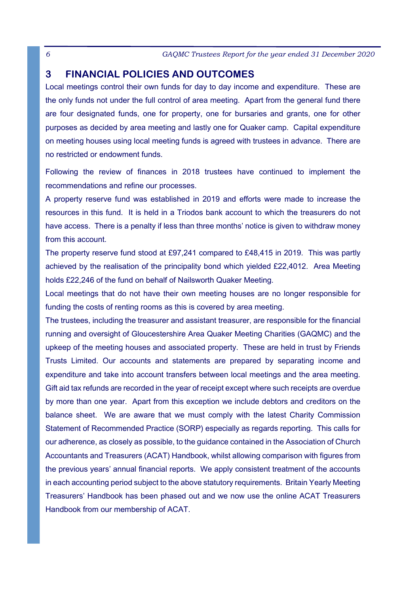# **3 FINANCIAL POLICIES AND OUTCOMES**

Local meetings control their own funds for day to day income and expenditure. These are the only funds not under the full control of area meeting. Apart from the general fund there are four designated funds, one for property, one for bursaries and grants, one for other purposes as decided by area meeting and lastly one for Quaker camp. Capital expenditure on meeting houses using local meeting funds is agreed with trustees in advance. There are no restricted or endowment funds.

Following the review of finances in 2018 trustees have continued to implement the recommendations and refine our processes.

A property reserve fund was established in 2019 and efforts were made to increase the resources in this fund. It is held in a Triodos bank account to which the treasurers do not have access. There is a penalty if less than three months' notice is given to withdraw money from this account

The property reserve fund stood at £97,241 compared to £48,415 in 2019. This was partly achieved by the realisation of the principality bond which yielded £22,4012. Area Meeting holds £22,246 of the fund on behalf of Nailsworth Quaker Meeting.

Local meetings that do not have their own meeting houses are no longer responsible for funding the costs of renting rooms as this is covered by area meeting.

The trustees, including the treasurer and assistant treasurer, are responsible for the financial running and oversight of Gloucestershire Area Quaker Meeting Charities (GAQMC) and the upkeep of the meeting houses and associated property. These are held in trust by Friends Trusts Limited. Our accounts and statements are prepared by separating income and expenditure and take into account transfers between local meetings and the area meeting. Gift aid tax refunds are recorded in the year of receipt except where such receipts are overdue by more than one year. Apart from this exception we include debtors and creditors on the balance sheet. We are aware that we must comply with the latest Charity Commission Statement of Recommended Practice (SORP) especially as regards reporting. This calls for our adherence, as closely as possible, to the guidance contained in the Association of Church Accountants and Treasurers (ACAT) Handbook, whilst allowing comparison with figures from the previous years' annual financial reports. We apply consistent treatment of the accounts in each accounting period subject to the above statutory requirements. Britain Yearly Meeting Treasurers' Handbook has been phased out and we now use the online ACAT Treasurers Handbook from our membership of ACAT.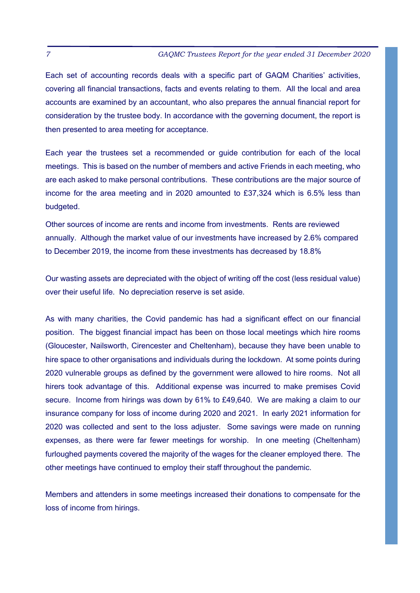Each set of accounting records deals with a specific part of GAQM Charities' activities, covering all financial transactions, facts and events relating to them. All the local and area accounts are examined by an accountant, who also prepares the annual financial report for consideration by the trustee body. In accordance with the governing document, the report is then presented to area meeting for acceptance.

Each year the trustees set a recommended or guide contribution for each of the local meetings. This is based on the number of members and active Friends in each meeting, who are each asked to make personal contributions. These contributions are the major source of income for the area meeting and in 2020 amounted to  $£37,324$  which is 6.5% less than budgeted.

Other sources of income are rents and income from investments. Rents are reviewed annually. Although the market value of our investments have increased by 2.6% compared to December 2019, the income from these investments has decreased by 18.8%

Our wasting assets are depreciated with the object of writing off the cost (less residual value) over their useful life. No depreciation reserve is set aside.

As with many charities, the Covid pandemic has had a significant effect on our financial position. The biggest financial impact has been on those local meetings which hire rooms (Gloucester, Nailsworth, Cirencester and Cheltenham), because they have been unable to hire space to other organisations and individuals during the lockdown. At some points during 2020 vulnerable groups as defined by the government were allowed to hire rooms. Not all hirers took advantage of this. Additional expense was incurred to make premises Covid secure. Income from hirings was down by 61% to £49,640. We are making a claim to our insurance company for loss of income during 2020 and 2021. In early 2021 information for 2020 was collected and sent to the loss adjuster. Some savings were made on running expenses, as there were far fewer meetings for worship. In one meeting (Cheltenham) furloughed payments covered the majority of the wages for the cleaner employed there. The other meetings have continued to employ their staff throughout the pandemic.

Members and attenders in some meetings increased their donations to compensate for the loss of income from hirings.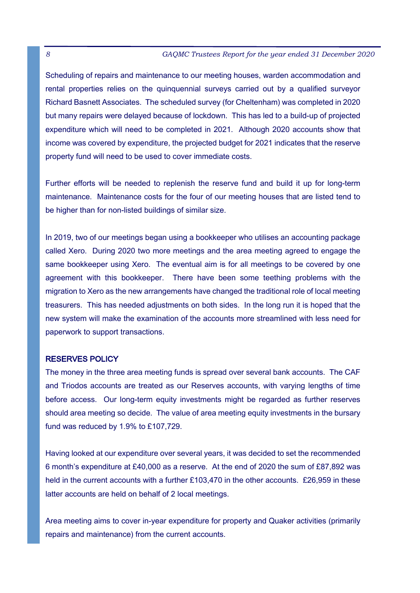Scheduling of repairs and maintenance to our meeting houses, warden accommodation and rental properties relies on the quinquennial surveys carried out by a qualified surveyor Richard Basnett Associates. The scheduled survey (for Cheltenham) was completed in 2020 but many repairs were delayed because of lockdown. This has led to a build-up of projected expenditure which will need to be completed in 2021. Although 2020 accounts show that income was covered by expenditure, the projected budget for 2021 indicates that the reserve property fund will need to be used to cover immediate costs.

Further efforts will be needed to replenish the reserve fund and build it up for long-term maintenance. Maintenance costs for the four of our meeting houses that are listed tend to be higher than for non-listed buildings of similar size.

In 2019, two of our meetings began using a bookkeeper who utilises an accounting package called Xero. During 2020 two more meetings and the area meeting agreed to engage the same bookkeeper using Xero. The eventual aim is for all meetings to be covered by one agreement with this bookkeeper. There have been some teething problems with the migration to Xero as the new arrangements have changed the traditional role of local meeting treasurers. This has needed adjustments on both sides. In the long run it is hoped that the new system will make the examination of the accounts more streamlined with less need for paperwork to support transactions.

#### RESERVES POLICY

The money in the three area meeting funds is spread over several bank accounts. The CAF and Triodos accounts are treated as our Reserves accounts, with varying lengths of time before access. Our long-term equity investments might be regarded as further reserves should area meeting so decide. The value of area meeting equity investments in the bursary fund was reduced by 1.9% to  $£107,729$ .

Having looked at our expenditure over several years, it was decided to set the recommended 6 month's expenditure at £40,000 as a reserve. At the end of 2020 the sum of £87,892 was held in the current accounts with a further £103,470 in the other accounts. £26,959 in these latter accounts are held on behalf of 2 local meetings.

Area meeting aims to cover in-year expenditure for property and Quaker activities (primarily repairs and maintenance) from the current accounts.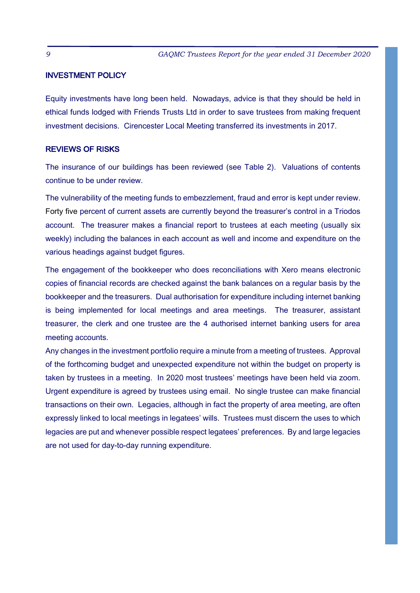#### INVESTMENT POLICY

Equity investments have long been held. Nowadays, advice is that they should be held in ethical funds lodged with Friends Trusts Ltd in order to save trustees from making frequent investment decisions. Cirencester Local Meeting transferred its investments in 2017.

#### **REVIEWS OF RISKS**

The insurance of our buildings has been reviewed (see Table 2). Valuations of contents continue to be under review.

The vulnerability of the meeting funds to embezzlement, fraud and error is kept under review. Forty five percent of current assets are currently beyond the treasurer's control in a Triodos account. The treasurer makes a financial report to trustees at each meeting (usually six weekly) including the balances in each account as well and income and expenditure on the various headings against budget figures.

The engagement of the bookkeeper who does reconciliations with Xero means electronic copies of financial records are checked against the bank balances on a regular basis by the bookkeeper and the treasurers. Dual authorisation for expenditure including internet banking is being implemented for local meetings and area meetings. The treasurer, assistant treasurer, the clerk and one trustee are the 4 authorised internet banking users for area meeting accounts.

Any changes in the investment portfolio require a minute from a meeting of trustees. Approval of the forthcoming budget and unexpected expenditure not within the budget on property is taken by trustees in a meeting. In 2020 most trustees' meetings have been held via zoom. Urgent expenditure is agreed by trustees using email. No single trustee can make financial transactions on their own. Legacies, although in fact the property of area meeting, are often expressly linked to local meetings in legatees' wills. Trustees must discern the uses to which legacies are put and whenever possible respect legatees' preferences. By and large legacies are not used for day-to-day running expenditure.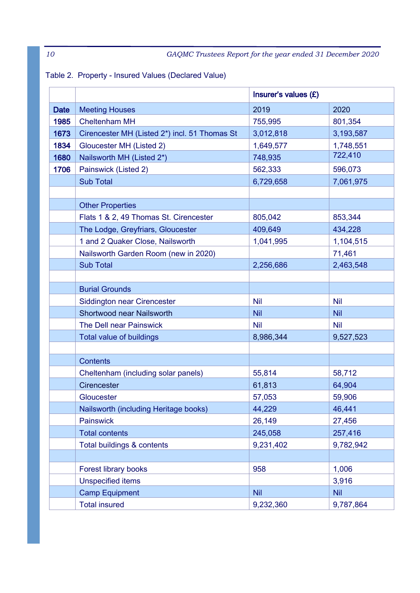# Table 2. Property - Insured Values (Declared Value)

|             |                                               | Insurer's values (£) |            |  |
|-------------|-----------------------------------------------|----------------------|------------|--|
| <b>Date</b> | <b>Meeting Houses</b>                         | 2019                 | 2020       |  |
| 1985        | <b>Cheltenham MH</b>                          | 755,995              | 801,354    |  |
| 1673        | Cirencester MH (Listed 2*) incl. 51 Thomas St | 3,012,818            | 3,193,587  |  |
| 1834        | Gloucester MH (Listed 2)                      | 1,649,577            | 1,748,551  |  |
| 1680        | Nailsworth MH (Listed 2*)                     | 748,935              | 722,410    |  |
| 1706        | Painswick (Listed 2)                          | 562,333              | 596,073    |  |
|             | <b>Sub Total</b>                              | 6,729,658            | 7,061,975  |  |
|             |                                               |                      |            |  |
|             | <b>Other Properties</b>                       |                      |            |  |
|             | Flats 1 & 2, 49 Thomas St. Cirencester        | 805,042              | 853,344    |  |
|             | The Lodge, Greyfriars, Gloucester             | 409,649              | 434,228    |  |
|             | 1 and 2 Quaker Close, Nailsworth              | 1,041,995            | 1,104,515  |  |
|             | Nailsworth Garden Room (new in 2020)          |                      | 71,461     |  |
|             | <b>Sub Total</b>                              | 2,256,686            | 2,463,548  |  |
|             |                                               |                      |            |  |
|             | <b>Burial Grounds</b>                         |                      |            |  |
|             | Siddington near Cirencester                   | <b>Nil</b>           | <b>Nil</b> |  |
|             | Shortwood near Nailsworth                     | <b>Nil</b>           | <b>Nil</b> |  |
|             | The Dell near Painswick                       | <b>Nil</b>           | <b>Nil</b> |  |
|             | Total value of buildings                      | 8,986,344            | 9,527,523  |  |
|             |                                               |                      |            |  |
|             | <b>Contents</b>                               |                      |            |  |
|             | Cheltenham (including solar panels)           | 55,814               | 58,712     |  |
|             | Cirencester                                   | 61,813               | 64,904     |  |
|             | Gloucester                                    | 57,053               | 59,906     |  |
|             | Nailsworth (including Heritage books)         | 44,229               | 46,441     |  |
|             | Painswick                                     | 26,149               | 27,456     |  |
|             | <b>Total contents</b>                         | 245,058              | 257,416    |  |
|             | Total buildings & contents                    | 9,231,402            | 9,782,942  |  |
|             |                                               |                      |            |  |
|             | Forest library books                          | 958                  | 1,006      |  |
|             | <b>Unspecified items</b>                      |                      | 3,916      |  |
|             | <b>Camp Equipment</b>                         | <b>Nil</b>           | <b>Nil</b> |  |
|             | <b>Total insured</b>                          | 9,232,360            | 9,787,864  |  |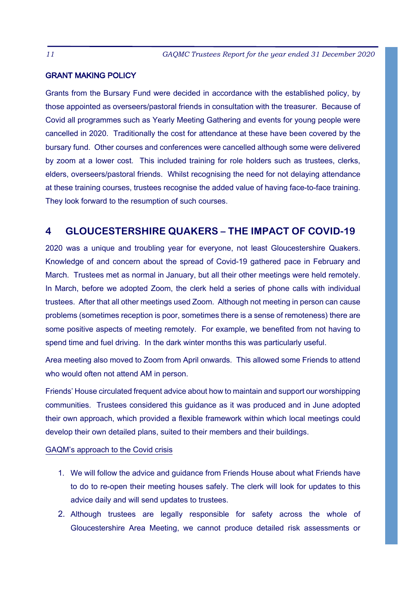#### **GRANT MAKING POLICY**

Grants from the Bursary Fund were decided in accordance with the established policy, by those appointed as overseers/pastoral friends in consultation with the treasurer. Because of Covid all programmes such as Yearly Meeting Gathering and events for young people were cancelled in 2020. Traditionally the cost for attendance at these have been covered by the bursary fund. Other courses and conferences were cancelled although some were delivered by zoom at a lower cost. This included training for role holders such as trustees, clerks, elders, overseers/pastoral friends. Whilst recognising the need for not delaying attendance at these training courses, trustees recognise the added value of having face-to-face training. They look forward to the resumption of such courses.

### **4 GLOUCESTERSHIRE QUAKERS – THE IMPACT OF COVID-19**

2020 was a unique and troubling year for everyone, not least Gloucestershire Quakers. Knowledge of and concern about the spread of Covid-19 gathered pace in February and March. Trustees met as normal in January, but all their other meetings were held remotely. In March, before we adopted Zoom, the clerk held a series of phone calls with individual trustees. After that all other meetings used Zoom. Although not meeting in person can cause problems (sometimes reception is poor, sometimes there is a sense of remoteness) there are some positive aspects of meeting remotely. For example, we benefited from not having to spend time and fuel driving. In the dark winter months this was particularly useful.

Area meeting also moved to Zoom from April onwards. This allowed some Friends to attend who would often not attend AM in person.

Friends' House circulated frequent advice about how to maintain and support our worshipping communities. Trustees considered this quidance as it was produced and in June adopted their own approach, which provided a flexible framework within which local meetings could develop their own detailed plans, suited to their members and their buildings.

#### GAQM's approach to the Covid crisis

- 1. We will follow the advice and guidance from Friends House about what Friends have to do to re-open their meeting houses safely. The clerk will look for updates to this advice daily and will send updates to trustees.
- 2. Although trustees are legally responsible for safety across the whole of Gloucestershire Area Meeting, we cannot produce detailed risk assessments or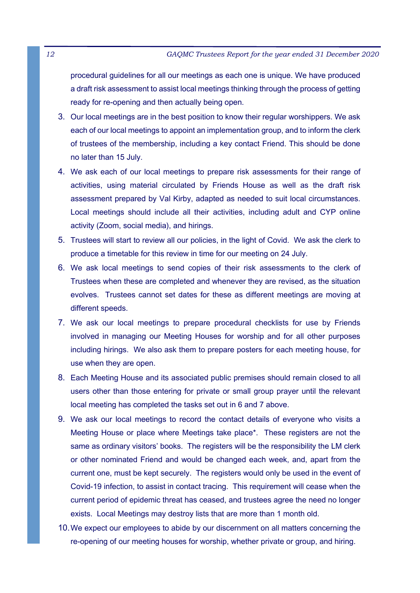procedural quidelines for all our meetings as each one is unique. We have produced a draft risk assessment to assist local meetings thinking through the process of getting ready for re-opening and then actually being open.

- 3. Our local meetings are in the best position to know their regular worshippers. We ask each of our local meetings to appoint an implementation group, and to inform the clerk of trustees of the membership, including a key contact Friend. This should be done no later than 15 July.
- 4. We ask each of our local meetings to prepare risk assessments for their range of activities, using material circulated by Friends House as well as the draft risk assessment prepared by Val Kirby, adapted as needed to suit local circumstances. Local meetings should include all their activities, including adult and CYP online activity (Zoom, social media), and hirings.
- 5. Trustees will start to review all our policies, in the light of Covid. We ask the clerk to produce a timetable for this review in time for our meeting on 24 July.
- 6. We ask local meetings to send copies of their risk assessments to the clerk of Trustees when these are completed and whenever they are revised, as the situation evolves. Trustees cannot set dates for these as different meetings are moving at different speeds.
- 7. We ask our local meetings to prepare procedural checklists for use by Friends involved in managing our Meeting Houses for worship and for all other purposes including hirings. We also ask them to prepare posters for each meeting house, for use when they are open.
- 8. Each Meeting House and its associated public premises should remain closed to all users other than those entering for private or small group prayer until the relevant local meeting has completed the tasks set out in 6 and 7 above.
- 9. We ask our local meetings to record the contact details of everyone who visits a Meeting House or place where Meetings take place\*. These registers are not the same as ordinary visitors' books. The registers will be the responsibility the LM clerk or other nominated Friend and would be changed each week, and, apart from the current one, must be kept securely. The registers would only be used in the event of Covid-19 infection, to assist in contact tracing. This requirement will cease when the current period of epidemic threat has ceased, and trustees agree the need no longer exists. Local Meetings may destroy lists that are more than 1 month old.
- 10. We expect our employees to abide by our discernment on all matters concerning the re-opening of our meeting houses for worship, whether private or group, and hiring.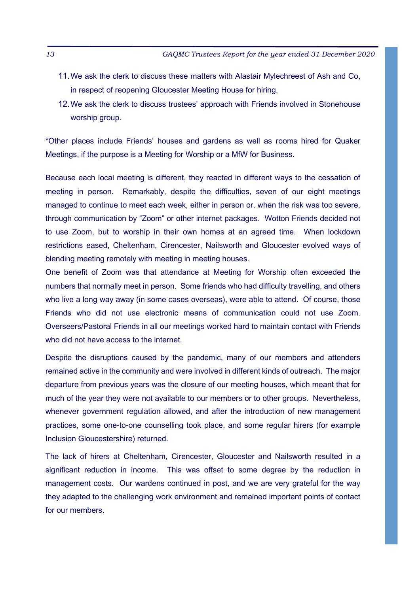- 11. We ask the clerk to discuss these matters with Alastair Mylechreest of Ash and Co. in respect of reopening Gloucester Meeting House for hiring.
- 12. We ask the clerk to discuss trustees' approach with Friends involved in Stonehouse worship group.

\*Other places include Friends' houses and gardens as well as rooms hired for Quaker Meetings, if the purpose is a Meeting for Worship or a MfW for Business.

Because each local meeting is different, they reacted in different ways to the cessation of meeting in person. Remarkably, despite the difficulties, seven of our eight meetings managed to continue to meet each week, either in person or, when the risk was too severe, through communication by "Zoom" or other internet packages. Wotton Friends decided not to use Zoom, but to worship in their own homes at an agreed time. When lockdown restrictions eased, Cheltenham, Cirencester, Nailsworth and Gloucester evolved ways of blending meeting remotely with meeting in meeting houses.

One benefit of Zoom was that attendance at Meeting for Worship often exceeded the numbers that normally meet in person. Some friends who had difficulty travelling, and others who live a long way away (in some cases overseas), were able to attend. Of course, those Friends who did not use electronic means of communication could not use Zoom. Overseers/Pastoral Friends in all our meetings worked hard to maintain contact with Friends who did not have access to the internet.

Despite the disruptions caused by the pandemic, many of our members and attenders remained active in the community and were involved in different kinds of outreach. The major departure from previous years was the closure of our meeting houses, which meant that for much of the year they were not available to our members or to other groups. Nevertheless, whenever government regulation allowed, and after the introduction of new management practices, some one-to-one counselling took place, and some regular hirers (for example Inclusion Gloucestershire) returned.

The lack of hirers at Cheltenham, Cirencester, Gloucester and Nailsworth resulted in a significant reduction in income. This was offset to some degree by the reduction in management costs. Our wardens continued in post, and we are very grateful for the way they adapted to the challenging work environment and remained important points of contact for our members.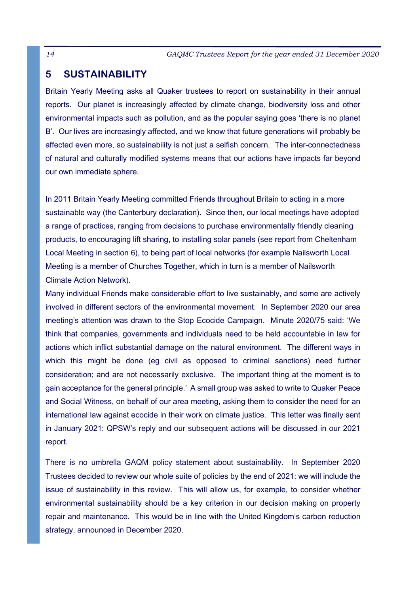# **5 SUSTAINABILITY**

Britain Yearly Meeting asks all Quaker trustees to report on sustainability in their annual reports. Our planet is increasingly affected by climate change, biodiversity loss and other environmental impacts such as pollution, and as the popular saying goes 'there is no planet B'. Our lives are increasingly affected, and we know that future generations will probably be affected even more, so sustainability is not just a selfish concern. The inter-connectedness of natural and culturally modified systems means that our actions have impacts far beyond our own immediate sphere.

In 2011 Britain Yearly Meeting committed Friends throughout Britain to acting in a more sustainable way (the Canterbury declaration). Since then, our local meetings have adopted a range of practices, ranging from decisions to purchase environmentally friendly cleaning products, to encouraging lift sharing, to installing solar panels (see report from Cheltenham Local Meeting in section 6), to being part of local networks (for example Nailsworth Local Meeting is a member of Churches Together, which in turn is a member of Nailsworth Climate Action Network).

Many individual Friends make considerable effort to live sustainably, and some are actively involved in different sectors of the environmental movement. In September 2020 our area meeting's attention was drawn to the Stop Ecocide Campaign. Minute 2020/75 said: 'We think that companies, governments and individuals need to be held accountable in law for actions which inflict substantial damage on the natural environment. The different ways in which this might be done (eq civil as opposed to criminal sanctions) need further consideration: and are not necessarily exclusive. The important thing at the moment is to gain acceptance for the general principle.' A small group was asked to write to Quaker Peace and Social Witness, on behalf of our area meeting, asking them to consider the need for an international law against ecocide in their work on climate justice. This letter was finally sent in January 2021: QPSW's reply and our subsequent actions will be discussed in our 2021 report.

There is no umbrella GAQM policy statement about sustainability. In September 2020 Trustees decided to review our whole suite of policies by the end of 2021: we will include the issue of sustainability in this review. This will allow us, for example, to consider whether environmental sustainability should be a key criterion in our decision making on property repair and maintenance. This would be in line with the United Kingdom's carbon reduction strategy, announced in December 2020.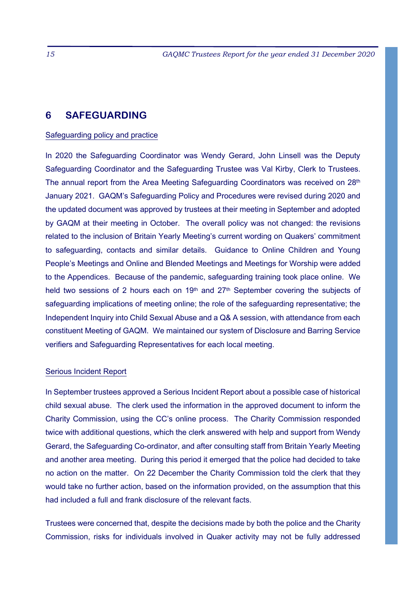### **6 SAFEGUARDING**

#### Safeguarding policy and practice

In 2020 the Safeguarding Coordinator was Wendy Gerard, John Linsell was the Deputy Safeguarding Coordinator and the Safeguarding Trustee was Val Kirby, Clerk to Trustees. The annual report from the Area Meeting Safeguarding Coordinators was received on 28th January 2021. GAQM's Safeguarding Policy and Procedures were revised during 2020 and the updated document was approved by trustees at their meeting in September and adopted by GAQM at their meeting in October. The overall policy was not changed: the revisions related to the inclusion of Britain Yearly Meeting's current wording on Quakers' commitment to safeguarding, contacts and similar details. Guidance to Online Children and Young People's Meetings and Online and Blended Meetings and Meetings for Worship were added to the Appendices. Because of the pandemic, safeguarding training took place online. We held two sessions of 2 hours each on 19<sup>th</sup> and 27<sup>th</sup> September covering the subjects of safeguarding implications of meeting online; the role of the safeguarding representative; the Independent Inquiry into Child Sexual Abuse and a Q& A session, with attendance from each constituent Meeting of GAQM. We maintained our system of Disclosure and Barring Service verifiers and Safeguarding Representatives for each local meeting.

#### Serious Incident Report

In September trustees approved a Serious Incident Report about a possible case of historical child sexual abuse. The clerk used the information in the approved document to inform the Charity Commission, using the CC's online process. The Charity Commission responded twice with additional questions, which the clerk answered with help and support from Wendy Gerard, the Safeguarding Co-ordinator, and after consulting staff from Britain Yearly Meeting and another area meeting. During this period it emerged that the police had decided to take no action on the matter. On 22 December the Charity Commission told the clerk that they would take no further action, based on the information provided, on the assumption that this had included a full and frank disclosure of the relevant facts.

Trustees were concerned that, despite the decisions made by both the police and the Charity Commission, risks for individuals involved in Quaker activity may not be fully addressed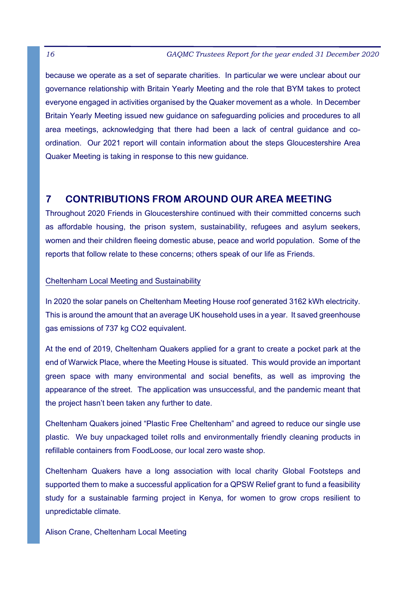because we operate as a set of separate charities. In particular we were unclear about our governance relationship with Britain Yearly Meeting and the role that BYM takes to protect everyone engaged in activities organised by the Quaker movement as a whole. In December Britain Yearly Meeting issued new guidance on safeguarding policies and procedures to all area meetings, acknowledging that there had been a lack of central guidance and coordination. Our 2021 report will contain information about the steps Gloucestershire Area Quaker Meeting is taking in response to this new guidance.

# **7 CONTRIBUTIONS FROM AROUND OUR AREA MEETING**

Throughout 2020 Friends in Gloucestershire continued with their committed concerns such as affordable housing, the prison system, sustainability, refugees and asylum seekers, women and their children fleeing domestic abuse, peace and world population. Some of the reports that follow relate to these concerns; others speak of our life as Friends.

#### Cheltenham Local Meeting and Sustainability

In 2020 the solar panels on Cheltenham Meeting House roof generated 3162 kWh electricity. This is around the amount that an average UK household uses in a year. It saved greenhouse qas emissions of 737 kg CO2 equivalent.

At the end of 2019, Cheltenham Quakers applied for a grant to create a pocket park at the end of Warwick Place, where the Meeting House is situated. This would provide an important green space with many environmental and social benefits, as well as improving the appearance of the street. The application was unsuccessful, and the pandemic meant that the project hasn't been taken any further to date.

Cheltenham Quakers joined "Plastic Free Cheltenham" and agreed to reduce our single use plastic. We buy unpackaged toilet rolls and environmentally friendly cleaning products in refillable containers from FoodLoose, our local zero waste shop.

Cheltenham Quakers have a long association with local charity Global Footsteps and supported them to make a successful application for a QPSW Relief grant to fund a feasibility study for a sustainable farming project in Kenya, for women to grow crops resilient to unpredictable climate.

Alison Crane, Cheltenham Local Meeting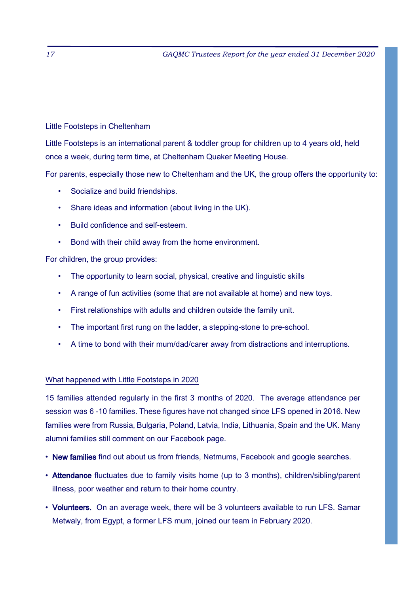#### Little Footsteps in Cheltenham

Little Footsteps is an international parent & toddler group for children up to 4 years old, held once a week, during term time, at Cheltenham Quaker Meeting House.

For parents, especially those new to Cheltenham and the UK, the group offers the opportunity to:

- Socialize and build friendships.
- Share ideas and information (about living in the UK).
- Build confidence and self-esteem.
- Bond with their child away from the home environment.

For children, the group provides:

- The opportunity to learn social, physical, creative and linguistic skills
- A range of fun activities (some that are not available at home) and new toys.
- First relationships with adults and children outside the family unit.
- The important first rung on the ladder, a stepping-stone to pre-school.
- A time to bond with their mum/dad/carer away from distractions and interruptions.

#### What happened with Little Footsteps in 2020

15 families attended regularly in the first 3 months of 2020. The average attendance per session was 6 -10 families. These figures have not changed since LFS opened in 2016. New families were from Russia, Bulgaria, Poland, Latvia, India, Lithuania, Spain and the UK. Many alumni families still comment on our Facebook page.

- New families find out about us from friends, Netmums, Facebook and google searches.
- Attendance fluctuates due to family visits home (up to 3 months), children/sibling/parent illness, poor weather and return to their home country.
- Volunteers. On an average week, there will be 3 volunteers available to run LFS. Samar Metwaly, from Egypt, a former LFS mum, joined our team in February 2020.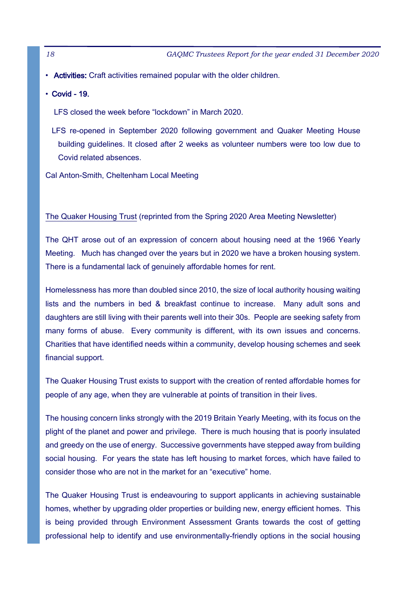• Activities: Craft activities remained popular with the older children.

 $\cdot$  Covid - 19.

LFS closed the week before "lockdown" in March 2020.

LFS re-opened in September 2020 following government and Quaker Meeting House building quidelines. It closed after 2 weeks as volunteer numbers were too low due to Covid related absences.

Cal Anton-Smith, Cheltenham Local Meeting

#### The Quaker Housing Trust (reprinted from the Spring 2020 Area Meeting Newsletter)

The QHT arose out of an expression of concern about housing need at the 1966 Yearly Meeting. Much has changed over the years but in 2020 we have a broken housing system. There is a fundamental lack of genuinely affordable homes for rent.

Homelessness has more than doubled since 2010, the size of local authority housing waiting lists and the numbers in bed & breakfast continue to increase. Many adult sons and daughters are still living with their parents well into their 30s. People are seeking safety from many forms of abuse. Every community is different, with its own issues and concerns. Charities that have identified needs within a community, develop housing schemes and seek financial support.

The Quaker Housing Trust exists to support with the creation of rented affordable homes for people of any age, when they are vulnerable at points of transition in their lives.

The housing concern links strongly with the 2019 Britain Yearly Meeting, with its focus on the plight of the planet and power and privilege. There is much housing that is poorly insulated and greedy on the use of energy. Successive governments have stepped away from building social housing. For years the state has left housing to market forces, which have failed to consider those who are not in the market for an "executive" home.

The Quaker Housing Trust is endeavouring to support applicants in achieving sustainable homes, whether by upgrading older properties or building new, energy efficient homes. This is being provided through Environment Assessment Grants towards the cost of getting professional help to identify and use environmentally-friendly options in the social housing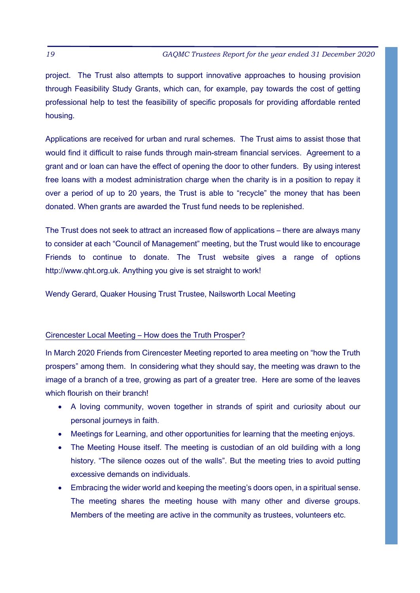project. The Trust also attempts to support innovative approaches to housing provision through Feasibility Study Grants, which can, for example, pay towards the cost of getting professional help to test the feasibility of specific proposals for providing affordable rented housing.

Applications are received for urban and rural schemes. The Trust aims to assist those that would find it difficult to raise funds through main-stream financial services. Agreement to a grant and or loan can have the effect of opening the door to other funders. By using interest free loans with a modest administration charge when the charity is in a position to repay it over a period of up to 20 years, the Trust is able to "recycle" the money that has been donated. When grants are awarded the Trust fund needs to be replenished.

The Trust does not seek to attract an increased flow of applications – there are always many to consider at each "Council of Management" meeting, but the Trust would like to encourage Friends to continue to donate. The Trust website gives a range of options http://www.qht.org.uk. Anything you give is set straight to work!

Wendy Gerard, Quaker Housing Trust Trustee, Nailsworth Local Meeting

#### Cirencester Local Meeting - How does the Truth Prosper?

In March 2020 Friends from Cirencester Meeting reported to area meeting on "how the Truth" prospers" among them. In considering what they should say, the meeting was drawn to the image of a branch of a tree, growing as part of a greater tree. Here are some of the leaves which flourish on their branch!

- A loving community, woven together in strands of spirit and curiosity about our personal journeys in faith.
- Meetings for Learning, and other opportunities for learning that the meeting enjoys.
- The Meeting House itself. The meeting is custodian of an old building with a long history. "The silence oozes out of the walls". But the meeting tries to avoid putting excessive demands on individuals.
- Embracing the wider world and keeping the meeting's doors open, in a spiritual sense. The meeting shares the meeting house with many other and diverse groups. Members of the meeting are active in the community as trustees, volunteers etc.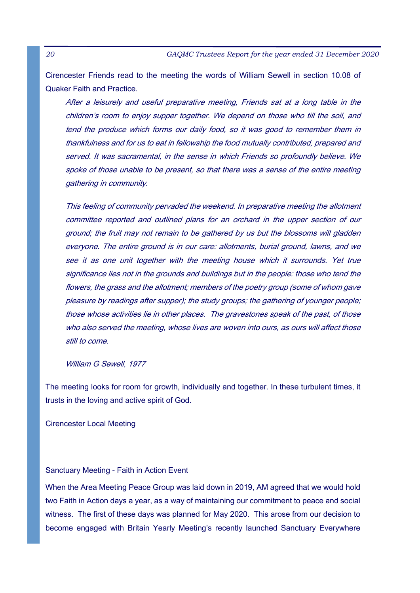Cirencester Friends read to the meeting the words of William Sewell in section 10.08 of Quaker Faith and Practice.

After a leisurely and useful preparative meeting, Friends sat at a long table in the children's room to enjoy supper together. We depend on those who till the soil, and tend the produce which forms our daily food, so it was good to remember them in thankfulness and for us to eat in fellowship the food mutually contributed, prepared and served. It was sacramental, in the sense in which Friends so profoundly believe. We spoke of those unable to be present, so that there was a sense of the entire meeting gathering in community.

This feeling of community pervaded the weekend. In preparative meeting the allotment committee reported and outlined plans for an orchard in the upper section of our ground; the fruit may not remain to be gathered by us but the blossoms will gladden everyone. The entire ground is in our care: allotments, burial ground, lawns, and we see it as one unit together with the meeting house which it surrounds. Yet true significance lies not in the grounds and buildings but in the people: those who tend the flowers, the grass and the allotment; members of the poetry group (some of whom gave pleasure by readings after supper); the study groups; the gathering of younger people; those whose activities lie in other places. The gravestones speak of the past, of those who also served the meeting, whose lives are woven into ours, as ours will affect those still to come.

William G Sewell, 1977

The meeting looks for room for growth, individually and together. In these turbulent times, it trusts in the loving and active spirit of God.

Cirencester Local Meeting

#### Sanctuary Meeting - Faith in Action Event

When the Area Meeting Peace Group was laid down in 2019, AM agreed that we would hold two Faith in Action days a year, as a way of maintaining our commitment to peace and social witness. The first of these days was planned for May 2020. This arose from our decision to become engaged with Britain Yearly Meeting's recently launched Sanctuary Everywhere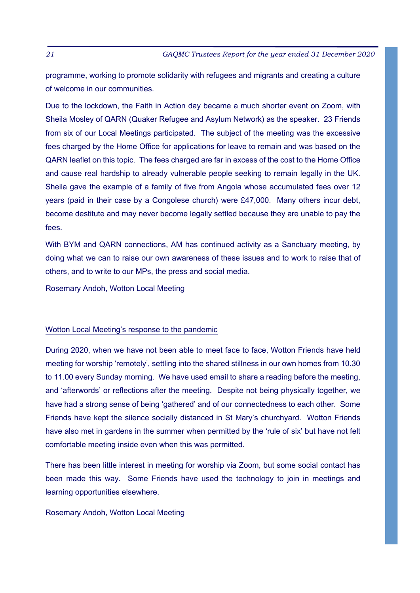programme, working to promote solidarity with refugees and migrants and creating a culture of welcome in our communities.

Due to the lockdown, the Faith in Action day became a much shorter event on Zoom, with Sheila Mosley of QARN (Quaker Refugee and Asylum Network) as the speaker. 23 Friends from six of our Local Meetings participated. The subject of the meeting was the excessive fees charged by the Home Office for applications for leave to remain and was based on the QARN leaflet on this topic. The fees charged are far in excess of the cost to the Home Office and cause real hardship to already vulnerable people seeking to remain legally in the UK. Sheila gave the example of a family of five from Angola whose accumulated fees over 12 years (paid in their case by a Congolese church) were £47,000. Many others incur debt, become destitute and may never become legally settled because they are unable to pay the fees.

With BYM and QARN connections, AM has continued activity as a Sanctuary meeting, by doing what we can to raise our own awareness of these issues and to work to raise that of others, and to write to our MPs, the press and social media.

Rosemary Andoh, Wotton Local Meeting

#### Wotton Local Meeting's response to the pandemic

During 2020, when we have not been able to meet face to face, Wotton Friends have held meeting for worship 'remotely', settling into the shared stillness in our own homes from 10.30 to 11.00 every Sunday morning. We have used email to share a reading before the meeting, and 'afterwords' or reflections after the meeting. Despite not being physically together, we have had a strong sense of being 'gathered' and of our connectedness to each other. Some Friends have kept the silence socially distanced in St Mary's churchyard. Wotton Friends have also met in gardens in the summer when permitted by the 'rule of six' but have not felt comfortable meeting inside even when this was permitted.

There has been little interest in meeting for worship via Zoom, but some social contact has been made this way. Some Friends have used the technology to join in meetings and learning opportunities elsewhere.

#### Rosemary Andoh, Wotton Local Meeting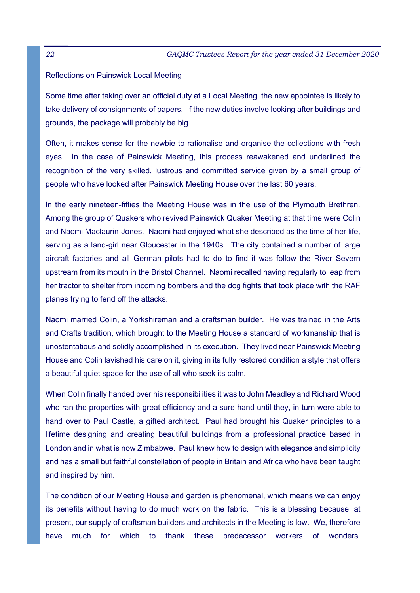#### Reflections on Painswick Local Meeting

Some time after taking over an official duty at a Local Meeting, the new appointee is likely to take delivery of consignments of papers. If the new duties involve looking after buildings and grounds, the package will probably be big.

Often, it makes sense for the newbie to rationalise and organise the collections with fresh eyes. In the case of Painswick Meeting, this process reawakened and underlined the recognition of the very skilled, lustrous and committed service given by a small group of people who have looked after Painswick Meeting House over the last 60 years.

In the early nineteen-fifties the Meeting House was in the use of the Plymouth Brethren. Among the group of Quakers who revived Painswick Quaker Meeting at that time were Colin and Naomi Maclaurin-Jones. Naomi had enjoyed what she described as the time of her life, serving as a land-girl near Gloucester in the 1940s. The city contained a number of large aircraft factories and all German pilots had to do to find it was follow the River Severn upstream from its mouth in the Bristol Channel. Naomi recalled having regularly to leap from her tractor to shelter from incoming bombers and the dog fights that took place with the RAF planes trying to fend off the attacks.

Naomi married Colin, a Yorkshireman and a craftsman builder. He was trained in the Arts and Crafts tradition, which brought to the Meeting House a standard of workmanship that is unostentatious and solidly accomplished in its execution. They lived near Painswick Meeting House and Colin lavished his care on it, giving in its fully restored condition a style that offers a beautiful quiet space for the use of all who seek its calm.

When Colin finally handed over his responsibilities it was to John Meadley and Richard Wood who ran the properties with great efficiency and a sure hand until they, in turn were able to hand over to Paul Castle, a gifted architect. Paul had brought his Quaker principles to a lifetime designing and creating beautiful buildings from a professional practice based in London and in what is now Zimbabwe. Paul knew how to design with elegance and simplicity and has a small but faithful constellation of people in Britain and Africa who have been taught and inspired by him.

The condition of our Meeting House and garden is phenomenal, which means we can enjoy its benefits without having to do much work on the fabric. This is a blessing because, at present, our supply of craftsman builders and architects in the Meeting is low. We, therefore have much for which to thank these predecessor workers of wonders.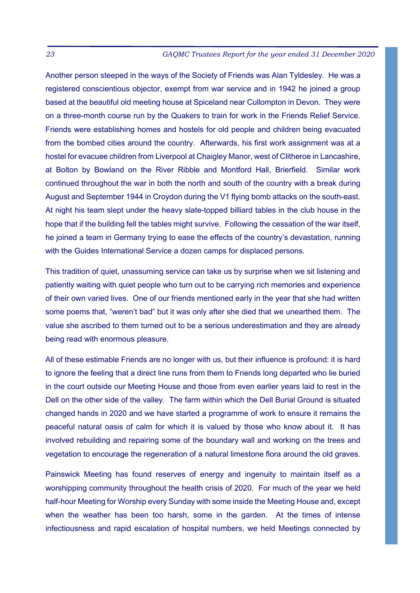Another person steeped in the ways of the Society of Friends was Alan Tyldesley. He was a registered conscientious objector, exempt from war service and in 1942 he joined a group based at the beautiful old meeting house at Spiceland near Cullompton in Devon. They were on a three-month course run by the Quakers to train for work in the Friends Relief Service. Friends were establishing homes and hostels for old people and children being evacuated from the bombed cities around the country. Afterwards, his first work assignment was at a hostel for evacuee children from Liverpool at Chaigley Manor, west of Clitheroe in Lancashire, at Bolton by Bowland on the River Ribble and Montford Hall, Brierfield. Similar work continued throughout the war in both the north and south of the country with a break during August and September 1944 in Croydon during the V1 flying bomb attacks on the south-east. At night his team slept under the heavy slate-topped billiard tables in the club house in the hope that if the building fell the tables might survive. Following the cessation of the war itself, he joined a team in Germany trying to ease the effects of the country's devastation, running with the Guides International Service a dozen camps for displaced persons.

This tradition of quiet, unassuming service can take us by surprise when we sit listening and patiently waiting with quiet people who turn out to be carrying rich memories and experience of their own varied lives. One of our friends mentioned early in the vear that she had written some poems that, "weren't bad" but it was only after she died that we unearthed them. The value she ascribed to them turned out to be a serious underestimation and they are already being read with enormous pleasure.

All of these estimable Friends are no longer with us, but their influence is profound: it is hard to ignore the feeling that a direct line runs from them to Friends long departed who lie buried in the court outside our Meeting House and those from even earlier years laid to rest in the Dell on the other side of the valley. The farm within which the Dell Burial Ground is situated changed hands in 2020 and we have started a programme of work to ensure it remains the peaceful natural oasis of calm for which it is valued by those who know about it. It has involved rebuilding and repairing some of the boundary wall and working on the trees and vegetation to encourage the regeneration of a natural limestone flora around the old graves.

Painswick Meeting has found reserves of energy and ingenuity to maintain itself as a worshipping community throughout the health crisis of 2020. For much of the year we held half-hour Meeting for Worship every Sunday with some inside the Meeting House and, except when the weather has been too harsh, some in the garden. At the times of intense infectiousness and rapid escalation of hospital numbers, we held Meetings connected by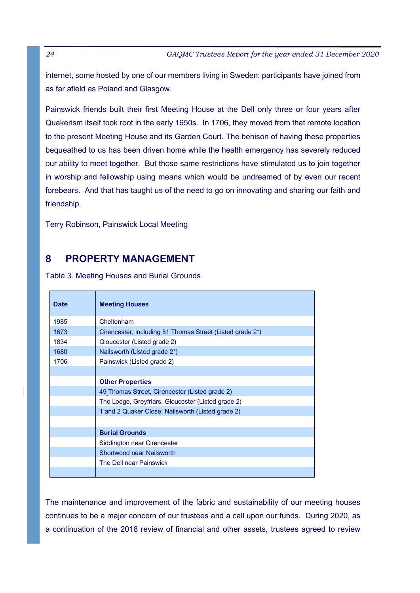internet, some hosted by one of our members living in Sweden: participants have joined from as far afield as Poland and Glasgow.

Painswick friends built their first Meeting House at the Dell only three or four years after Quakerism itself took root in the early 1650s. In 1706, they moved from that remote location to the present Meeting House and its Garden Court. The benison of having these properties bequeathed to us has been driven home while the health emergency has severely reduced our ability to meet together. But those same restrictions have stimulated us to join together in worship and fellowship using means which would be undreamed of by even our recent forebears. And that has taught us of the need to go on innovating and sharing our faith and friendship.

Terry Robinson, Painswick Local Meeting

# **8 PROPERTY MANAGEMENT**

Table 3. Meeting Houses and Burial Grounds

| <b>Date</b> | <b>Meeting Houses</b>                                     |
|-------------|-----------------------------------------------------------|
| 1985        | Cheltenham                                                |
| 1673        | Cirencester, including 51 Thomas Street (Listed grade 2*) |
| 1834        | Gloucester (Listed grade 2)                               |
| 1680        | Nailsworth (Listed grade 2*)                              |
| 1706        | Painswick (Listed grade 2)                                |
|             |                                                           |
|             | <b>Other Properties</b>                                   |
|             | 49 Thomas Street, Cirencester (Listed grade 2)            |
|             | The Lodge, Greyfriars, Gloucester (Listed grade 2)        |
|             | 1 and 2 Quaker Close, Nailsworth (Listed grade 2)         |
|             |                                                           |
|             | <b>Burial Grounds</b>                                     |
|             | Siddington near Cirencester                               |
|             | <b>Shortwood near Nailsworth</b>                          |
|             | The Dell near Painswick                                   |
|             |                                                           |

The maintenance and improvement of the fabric and sustainability of our meeting houses continues to be a major concern of our trustees and a call upon our funds. During 2020, as a continuation of the 2018 review of financial and other assets, trustees agreed to review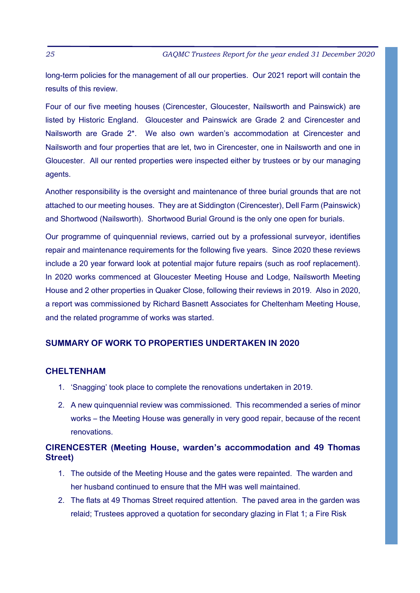long-term policies for the management of all our properties. Our 2021 report will contain the results of this review.

Four of our five meeting houses (Cirencester, Gloucester, Nailsworth and Painswick) are listed by Historic England. Gloucester and Painswick are Grade 2 and Cirencester and Nailsworth are Grade 2\*. We also own warden's accommodation at Cirencester and Nailsworth and four properties that are let, two in Cirencester, one in Nailsworth and one in Gloucester. All our rented properties were inspected either by trustees or by our managing agents.

Another responsibility is the oversight and maintenance of three burial grounds that are not attached to our meeting houses. They are at Siddington (Cirencester), Dell Farm (Painswick) and Shortwood (Nailsworth). Shortwood Burial Ground is the only one open for burials.

Our programme of guinguennial reviews, carried out by a professional surveyor, identifies repair and maintenance requirements for the following five years. Since 2020 these reviews include a 20 year forward look at potential major future repairs (such as roof replacement). In 2020 works commenced at Gloucester Meeting House and Lodge, Nailsworth Meeting House and 2 other properties in Quaker Close, following their reviews in 2019. Also in 2020, a report was commissioned by Richard Basnett Associates for Cheltenham Meeting House, and the related programme of works was started.

#### **SUMMARY OF WORK TO PROPERTIES UNDERTAKEN IN 2020**

#### **CHELTENHAM**

- 1. 'Snagging' took place to complete the renovations undertaken in 2019.
- 2. A new quinquennial review was commissioned. This recommended a series of minor works – the Meeting House was generally in very good repair, because of the recent renovations.

### **CIRENCESTER (Meeting House, warden's accommodation and 49 Thomas Street)**

- 1. The outside of the Meeting House and the gates were repainted. The warden and her husband continued to ensure that the MH was well maintained.
- 2. The flats at 49 Thomas Street required attention. The paved area in the garden was relaid; Trustees approved a quotation for secondary glazing in Flat 1; a Fire Risk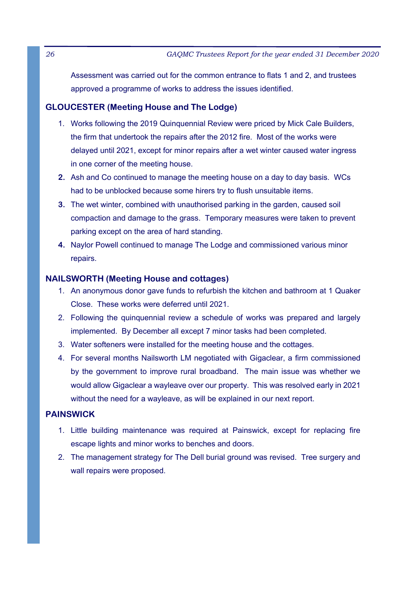Assessment was carried out for the common entrance to flats 1 and 2, and trustees approved a programme of works to address the issues identified.

### **GLOUCESTER (Meeting House and The Lodge)**

- 1. Works following the 2019 Quinguennial Review were priced by Mick Cale Builders, the firm that undertook the repairs after the 2012 fire. Most of the works were delayed until 2021, except for minor repairs after a wet winter caused water ingress in one corner of the meeting house.
- **2.** Ash and Co continued to manage the meeting house on a day to day basis. WCs had to be unblocked because some hirers try to flush unsuitable items.
- **3.** The wet winter, combined with unauthorised parking in the garden, caused soil compaction and damage to the grass. Temporary measures were taken to prevent parking except on the area of hard standing.
- **4.** Naylor Powell continued to manage The Lodge and commissioned various minor repairs.

#### **NAILSWORTH (Meeting House and cottages)**

- 1. An anonymous donor gave funds to refurbish the kitchen and bathroom at 1 Quaker Close. These works were deferred until 2021.
- 2. Following the quinquennial review a schedule of works was prepared and largely implemented. By December all except 7 minor tasks had been completed.
- 3. Water softeners were installed for the meeting house and the cottages.
- 4. For several months Nailsworth LM negotiated with Gigaclear, a firm commissioned by the government to improve rural broadband. The main issue was whether we would allow Gigaclear a wayleave over our property. This was resolved early in 2021 without the need for a wayleave, as will be explained in our next report.

### **PAINSWICK**

- 1. Little building maintenance was required at Painswick, except for replacing fire escape lights and minor works to benches and doors.
- 2. The management strategy for The Dell burial ground was revised. Tree surgery and wall repairs were proposed.